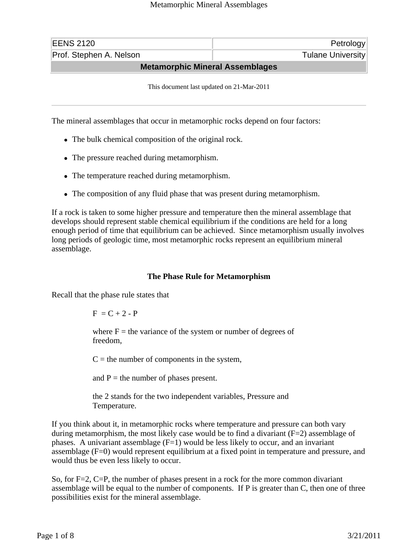| <b>EENS 2120</b>                       | Petrology                |  |
|----------------------------------------|--------------------------|--|
| Prof. Stephen A. Nelson                | <b>Tulane University</b> |  |
| <b>Metamorphic Mineral Assemblages</b> |                          |  |

This document last updated on 21-Mar-2011

The mineral assemblages that occur in metamorphic rocks depend on four factors:

- The bulk chemical composition of the original rock.
- The pressure reached during metamorphism.
- The temperature reached during metamorphism.
- The composition of any fluid phase that was present during metamorphism.

If a rock is taken to some higher pressure and temperature then the mineral assemblage that develops should represent stable chemical equilibrium if the conditions are held for a long enough period of time that equilibrium can be achieved. Since metamorphism usually involves long periods of geologic time, most metamorphic rocks represent an equilibrium mineral assemblage.

## **The Phase Rule for Metamorphism**

Recall that the phase rule states that

$$
F = C + 2 - P
$$

where  $F =$  the variance of the system or number of degrees of freedom,

 $C =$  the number of components in the system,

and  $P =$  the number of phases present.

the 2 stands for the two independent variables, Pressure and Temperature.

If you think about it, in metamorphic rocks where temperature and pressure can both vary during metamorphism, the most likely case would be to find a divariant (F=2) assemblage of phases. A univariant assemblage  $(F=1)$  would be less likely to occur, and an invariant assemblage (F=0) would represent equilibrium at a fixed point in temperature and pressure, and would thus be even less likely to occur.

So, for F=2, C=P, the number of phases present in a rock for the more common divariant assemblage will be equal to the number of components. If P is greater than C, then one of three possibilities exist for the mineral assemblage.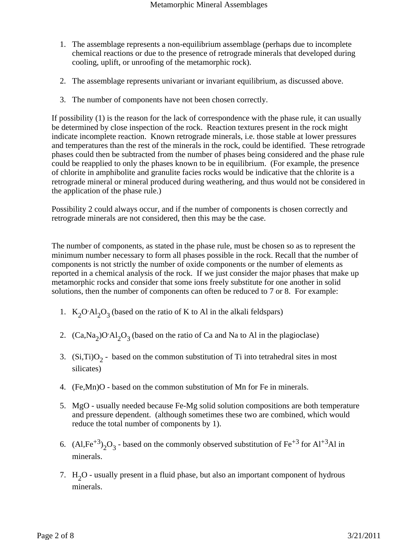- 1. The assemblage represents a non-equilibrium assemblage (perhaps due to incomplete chemical reactions or due to the presence of retrograde minerals that developed during cooling, uplift, or unroofing of the metamorphic rock).
- 2. The assemblage represents univariant or invariant equilibrium, as discussed above.
- 3. The number of components have not been chosen correctly.

If possibility (1) is the reason for the lack of correspondence with the phase rule, it can usually be determined by close inspection of the rock. Reaction textures present in the rock might indicate incomplete reaction. Known retrograde minerals, i.e. those stable at lower pressures and temperatures than the rest of the minerals in the rock, could be identified. These retrograde phases could then be subtracted from the number of phases being considered and the phase rule could be reapplied to only the phases known to be in equilibrium. (For example, the presence of chlorite in amphibolite and granulite facies rocks would be indicative that the chlorite is a retrograde mineral or mineral produced during weathering, and thus would not be considered in the application of the phase rule.)

Possibility 2 could always occur, and if the number of components is chosen correctly and retrograde minerals are not considered, then this may be the case.

The number of components, as stated in the phase rule, must be chosen so as to represent the minimum number necessary to form all phases possible in the rock. Recall that the number of components is not strictly the number of oxide components or the number of elements as reported in a chemical analysis of the rock. If we just consider the major phases that make up metamorphic rocks and consider that some ions freely substitute for one another in solid solutions, then the number of components can often be reduced to 7 or 8. For example:

- 1.  $K_2O^A A_2O_3$  (based on the ratio of K to Al in the alkali feldspars)
- 2.  $(Ca, Na<sub>2</sub>)O·Al<sub>2</sub>O<sub>3</sub>$  (based on the ratio of Ca and Na to Al in the plagioclase)
- 3. (Si,Ti) $O_2$  based on the common substitution of Ti into tetrahedral sites in most silicates)
- 4. (Fe,Mn)O based on the common substitution of Mn for Fe in minerals.
- 5. MgO usually needed because Fe-Mg solid solution compositions are both temperature and pressure dependent. (although sometimes these two are combined, which would reduce the total number of components by 1).
- 6. (Al,Fe<sup>+3</sup>)<sub>2</sub>O<sub>3</sub> based on the commonly observed substitution of Fe<sup>+3</sup> for Al<sup>+3</sup>Al in minerals.
- 7.  $H<sub>2</sub>O$  usually present in a fluid phase, but also an important component of hydrous minerals.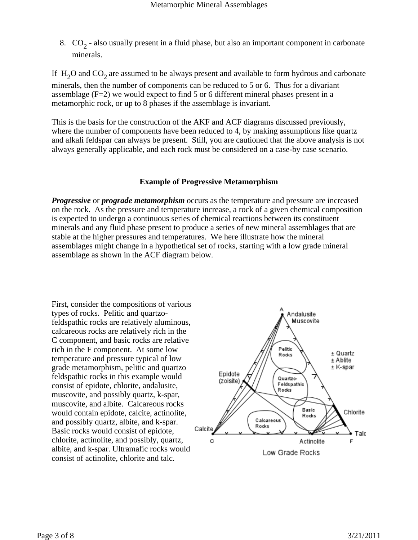8.  $CO_2$  - also usually present in a fluid phase, but also an important component in carbonate minerals.

If  $H_2O$  and  $CO_2$  are assumed to be always present and available to form hydrous and carbonate minerals, then the number of components can be reduced to 5 or 6. Thus for a divariant assemblage (F=2) we would expect to find 5 or 6 different mineral phases present in a metamorphic rock, or up to 8 phases if the assemblage is invariant.

This is the basis for the construction of the AKF and ACF diagrams discussed previously, where the number of components have been reduced to 4, by making assumptions like quartz and alkali feldspar can always be present. Still, you are cautioned that the above analysis is not always generally applicable, and each rock must be considered on a case-by case scenario.

## **Example of Progressive Metamorphism**

*Progressive* or *prograde metamorphism* occurs as the temperature and pressure are increased on the rock. As the pressure and temperature increase, a rock of a given chemical composition is expected to undergo a continuous series of chemical reactions between its constituent minerals and any fluid phase present to produce a series of new mineral assemblages that are stable at the higher pressures and temperatures. We here illustrate how the mineral assemblages might change in a hypothetical set of rocks, starting with a low grade mineral assemblage as shown in the ACF diagram below.

First, consider the compositions of various types of rocks. Pelitic and quartzofeldspathic rocks are relatively aluminous, calcareous rocks are relatively rich in the C component, and basic rocks are relative rich in the F component. At some low temperature and pressure typical of low grade metamorphism, pelitic and quartzo feldspathic rocks in this example would consist of epidote, chlorite, andalusite, muscovite, and possibly quartz, k-spar, muscovite, and albite. Calcareous rocks would contain epidote, calcite, actinolite, and possibly quartz, albite, and k-spar. Basic rocks would consist of epidote, chlorite, actinolite, and possibly, quartz, albite, and k-spar. Ultramafic rocks would consist of actinolite, chlorite and talc.

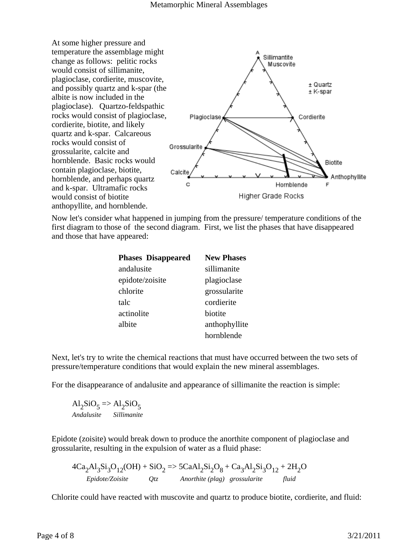

Now let's consider what happened in jumping from the pressure/ temperature conditions of the first diagram to those of the second diagram. First, we list the phases that have disappeared and those that have appeared:

| <b>Phases Disappeared</b> | <b>New Phases</b> |
|---------------------------|-------------------|
| andalusite                | sillimanite       |
| epidote/zoisite           | plagioclase       |
| chlorite                  | grossularite      |
| talc                      | cordierite        |
| actinolite                | biotite           |
| albite                    | anthophyllite     |
|                           | hornblende        |

Next, let's try to write the chemical reactions that must have occurred between the two sets of pressure/temperature conditions that would explain the new mineral assemblages.

For the disappearance of andalusite and appearance of sillimanite the reaction is simple:

 $\mathrm{Al}_2\mathrm{SiO}_5 \Longrightarrow \mathrm{Al}_2\mathrm{SiO}_5$ *Andalusite Sillimanite*

Epidote (zoisite) would break down to produce the anorthite component of plagioclase and grossularite, resulting in the expulsion of water as a fluid phase:

 $4Ca_2Al_3Si_3O_{12}(OH) + SiO_2 \Rightarrow 5CaAl_2Si_2O_8 + Ca_3Al_2Si_3O_{12} + 2H_2O$ *Epidote/Zoisite Qtz Anorthite (plag) grossularite fluid*

Chlorite could have reacted with muscovite and quartz to produce biotite, cordierite, and fluid: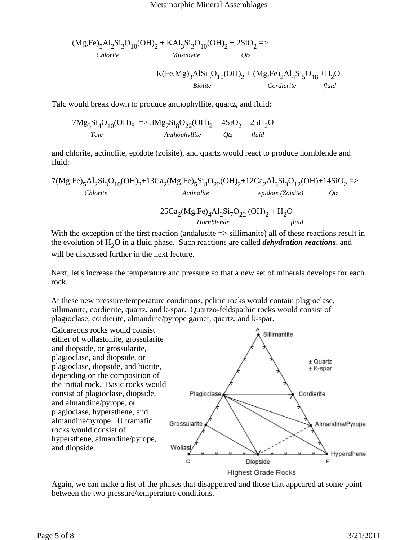$$
(Mg, Fe)5Al2Si3O10(OH)2 + KAl3Si3O10(OH)2 + 2SiO2 =>
$$
  
\n*Musicovite*  
\n
$$
K(Fe, Mg)3AlSi3O10(OH)2 + (Mg, Fe)2Al4Si5O18 + H2O
$$
  
\n*Biotite*  
\n*Conderite*  
\n*fluid*

Talc would break down to produce anthophyllite, quartz, and fluid:

$$
7Mg_3Si_4O_{10}(OH)_8 = 3Mg_7Si_8O_{22}(OH)_2 + 4SiO_2 + 25H_2O
$$
  
*Talc*  
*Anthophyllite* Qtz fluid

and chlorite, actinolite, epidote (zoisite), and quartz would react to produce hornblende and fluid:

7(Mg,Fe)5Al2Si3O10(OH)2+13Ca2(Mg,Fe)5Si8O22(OH)2+12Ca2Al3Si3O12(OH)+14SiO2 => *Chlorite Actinolite epidote (Zoisite) Qtz* 25Ca2(Mg,Fe)4Al2Si7O22 (OH)2 + H2O  *Hornblende fluid*

With the exception of the first reaction (andalusite  $\Rightarrow$  sillimanite) all of these reactions result in the evolution of H<sub>2</sub>O in a fluid phase. Such reactions are called *dehydration reactions*, and will be discussed further in the next lecture.

Next, let's increase the temperature and pressure so that a new set of minerals develops for each rock.

At these new pressure/temperature conditions, pelitic rocks would contain plagioclase, sillimanite, cordierite, quartz, and k-spar. Quartzo-feldspathic rocks would consist of plagioclase, cordierite, almandine/pyrope garnet, quartz, and k-spar.

Calcareous rocks would consist Sillimantite either of wollastonite, grossularite and diopside, or grossularite, plagioclase, and diopside, or  $±$  Quartz plagioclase, diopside, and biotite,  $±$  K-spar depending on the composition of the initial rock. Basic rocks would consist of plagioclase, diopside, Cordierite Plagioclase and almandine/pyrope, or plagioclase, hypersthene, and almandine/pyrope. Ultramafic Grossularite Almandine/Pyrope rocks would consist of hypersthene, almandine/pyrope, and diopside. Wollas Hypersthene  $\mathbf c$ Diopside F **Highest Grade Rocks** 

Again, we can make a list of the phases that disappeared and those that appeared at some point between the two pressure/temperature conditions.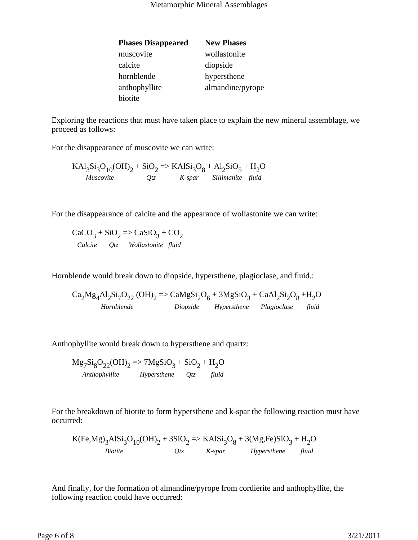| <b>Phases Disappeared</b> | <b>New Phases</b> |
|---------------------------|-------------------|
| muscovite                 | wollastonite      |
| calcite                   | diopside          |
| hornblende                | hypersthene       |
| anthophyllite             | almandine/pyrope  |
| biotite                   |                   |

Exploring the reactions that must have taken place to explain the new mineral assemblage, we proceed as follows:

For the disappearance of muscovite we can write:

$$
KAI3Si3O10(OH)2 + SiO2 => KAISi3O8 + Al2SiO5 + H2O
$$
  
Muscovite Qtz K-spar Sillimanite fluid

For the disappearance of calcite and the appearance of wollastonite we can write:

 $CaCO<sub>3</sub> + SiO<sub>2</sub> \Rightarrow CaSiO<sub>3</sub> + CO<sub>2</sub>$ *Calcite Qtz Wollastonite fluid*

Hornblende would break down to diopside, hypersthene, plagioclase, and fluid.:

$$
Ca2Mg4Al2Si7O22 (OH)2 => CaMgSi2O6 + 3MgSiO3 + CaAl2Si2O8 + H2OHornblende Diopside Hypersthene Plagioclase fluid
$$

Anthophyllite would break down to hypersthene and quartz:

$$
Mg_7Si_8O_{22}(OH)_2 \Rightarrow 7MgSiO_3 + SiO_2 + H_2O
$$
  
Anthophyllite Hypersthene Qtz fluid

For the breakdown of biotite to form hypersthene and k-spar the following reaction must have occurred:

$$
K(Fe, Mg)_3A1Si_3O_{10}(OH)_2 + 3SiO_2 \Rightarrow KAlSi_3O_8 + 3(Mg, Fe)SiO_3 + H_2O
$$
  
\n*Biotite* Qtz *K-spar Hypersthene* fluid

And finally, for the formation of almandine/pyrope from cordierite and anthophyllite, the following reaction could have occurred: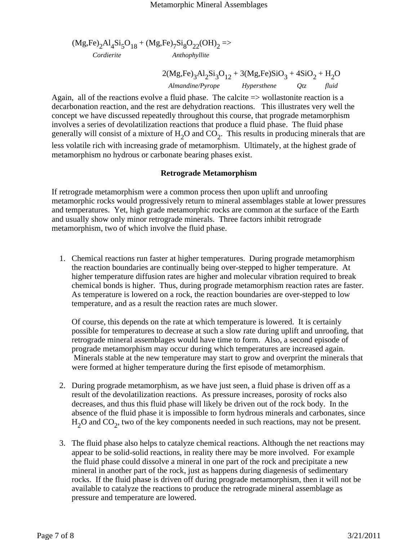$$
(Mg, Fe)_2Al_4Si_5O_{18} + (Mg, Fe)_7Si_8O_{22}(OH)_2 =>
$$
  
 *Cordierite Another*

 $2(Mg,Fe)_3Al_2Si_3O_{12} + 3(Mg,Fe)SiO_3 + 4SiO_2 + H_2O$ *Almandine/Pyrope Hypersthene Qtz fluid*

Again, all of the reactions evolve a fluid phase. The calcite => wollastonite reaction is a decarbonation reaction, and the rest are dehydration reactions. This illustrates very well the concept we have discussed repeatedly throughout this course, that prograde metamorphism involves a series of devolatilization reactions that produce a fluid phase. The fluid phase generally will consist of a mixture of  $H_2O$  and  $CO_2$ . This results in producing minerals that are less volatile rich with increasing grade of metamorphism. Ultimately, at the highest grade of metamorphism no hydrous or carbonate bearing phases exist.

## **Retrograde Metamorphism**

If retrograde metamorphism were a common process then upon uplift and unroofing metamorphic rocks would progressively return to mineral assemblages stable at lower pressures and temperatures. Yet, high grade metamorphic rocks are common at the surface of the Earth and usually show only minor retrograde minerals. Three factors inhibit retrograde metamorphism, two of which involve the fluid phase.

1. Chemical reactions run faster at higher temperatures. During prograde metamorphism the reaction boundaries are continually being over-stepped to higher temperature. At higher temperature diffusion rates are higher and molecular vibration required to break chemical bonds is higher. Thus, during prograde metamorphism reaction rates are faster. As temperature is lowered on a rock, the reaction boundaries are over-stepped to low temperature, and as a result the reaction rates are much slower.

Of course, this depends on the rate at which temperature is lowered. It is certainly possible for temperatures to decrease at such a slow rate during uplift and unroofing, that retrograde mineral assemblages would have time to form. Also, a second episode of prograde metamorphism may occur during which temperatures are increased again. Minerals stable at the new temperature may start to grow and overprint the minerals that were formed at higher temperature during the first episode of metamorphism.

- 2. During prograde metamorphism, as we have just seen, a fluid phase is driven off as a result of the devolatilization reactions. As pressure increases, porosity of rocks also decreases, and thus this fluid phase will likely be driven out of the rock body. In the absence of the fluid phase it is impossible to form hydrous minerals and carbonates, since  $H<sub>2</sub>O$  and  $CO<sub>2</sub>$ , two of the key components needed in such reactions, may not be present.
- 3. The fluid phase also helps to catalyze chemical reactions. Although the net reactions may appear to be solid-solid reactions, in reality there may be more involved. For example the fluid phase could dissolve a mineral in one part of the rock and precipitate a new mineral in another part of the rock, just as happens during diagenesis of sedimentary rocks. If the fluid phase is driven off during prograde metamorphism, then it will not be available to catalyze the reactions to produce the retrograde mineral assemblage as pressure and temperature are lowered.